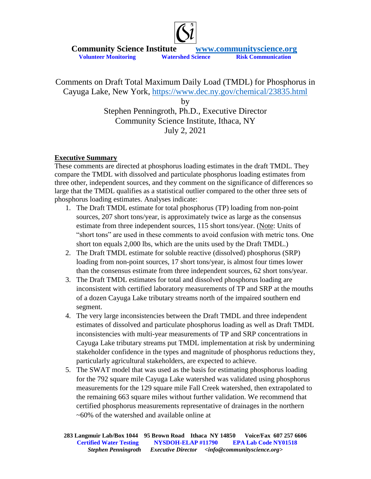

Comments on Draft Total Maximum Daily Load (TMDL) for Phosphorus in Cayuga Lake, New York,<https://www.dec.ny.gov/chemical/23835.html> by

Stephen Penningroth, Ph.D., Executive Director Community Science Institute, Ithaca, NY July 2, 2021

### **Executive Summary**

These comments are directed at phosphorus loading estimates in the draft TMDL. They compare the TMDL with dissolved and particulate phosphorus loading estimates from three other, independent sources, and they comment on the significance of differences so large that the TMDL qualifies as a statistical outlier compared to the other three sets of phosphorus loading estimates. Analyses indicate:

- 1. The Draft TMDL estimate for total phosphorus (TP) loading from non-point sources, 207 short tons/year, is approximately twice as large as the consensus estimate from three independent sources, 115 short tons/year. (Note: Units of "short tons" are used in these comments to avoid confusion with metric tons. One short ton equals 2,000 lbs, which are the units used by the Draft TMDL.)
- 2. The Draft TMDL estimate for soluble reactive (dissolved) phosphorus (SRP) loading from non-point sources, 17 short tons/year, is almost four times lower than the consensus estimate from three independent sources, 62 short tons/year.
- 3. The Draft TMDL estimates for total and dissolved phosphorus loading are inconsistent with certified laboratory measurements of TP and SRP at the mouths of a dozen Cayuga Lake tributary streams north of the impaired southern end segment.
- 4. The very large inconsistencies between the Draft TMDL and three independent estimates of dissolved and particulate phosphorus loading as well as Draft TMDL inconsistencies with multi-year measurements of TP and SRP concentrations in Cayuga Lake tributary streams put TMDL implementation at risk by undermining stakeholder confidence in the types and magnitude of phosphorus reductions they, particularly agricultural stakeholders, are expected to achieve.
- 5. The SWAT model that was used as the basis for estimating phosphorus loading for the 792 square mile Cayuga Lake watershed was validated using phosphorus measurements for the 129 square mile Fall Creek watershed, then extrapolated to the remaining 663 square miles without further validation. We recommend that certified phosphorus measurements representative of drainages in the northern ~60% of the watershed and available online at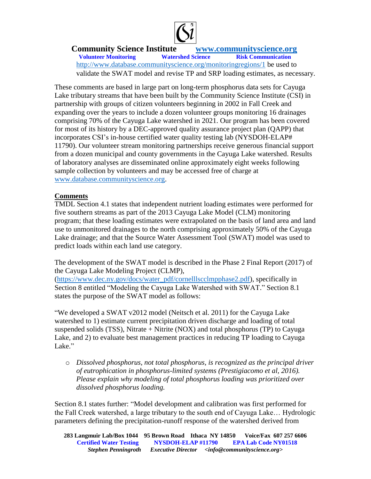

**Community Science Institute** *www.communityscience.org***<br>Volunteer Monitoring** *Watershed Science**Risk Communication* **Volunteer Monitoring** 

<http://www.database.communityscience.org/monitoringregions/1> be used to validate the SWAT model and revise TP and SRP loading estimates, as necessary.

These comments are based in large part on long-term phosphorus data sets for Cayuga Lake tributary streams that have been built by the Community Science Institute (CSI) in partnership with groups of citizen volunteers beginning in 2002 in Fall Creek and expanding over the years to include a dozen volunteer groups monitoring 16 drainages comprising 70% of the Cayuga Lake watershed in 2021. Our program has been covered for most of its history by a DEC-approved quality assurance project plan (QAPP) that incorporates CSI's in-house certified water quality testing lab (NYSDOH-ELAP# 11790). Our volunteer stream monitoring partnerships receive generous financial support from a dozen municipal and county governments in the Cayuga Lake watershed. Results of laboratory analyses are disseminated online approximately eight weeks following sample collection by volunteers and may be accessed free of charge at [www.database.communityscience.org.](http://www.database.communityscience.org/)

### **Comments**

TMDL Section 4.1 states that independent nutrient loading estimates were performed for five southern streams as part of the 2013 Cayuga Lake Model (CLM) monitoring program; that these loading estimates were extrapolated on the basis of land area and land use to unmonitored drainages to the north comprising approximately 50% of the Cayuga Lake drainage; and that the Source Water Assessment Tool (SWAT) model was used to predict loads within each land use category.

The development of the SWAT model is described in the Phase 2 Final Report (2017) of the Cayuga Lake Modeling Project (CLMP),

[\(https://www.dec.ny.gov/docs/water\\_pdf/cornelllscclmpphase2.pdf\)](https://www.dec.ny.gov/docs/water_pdf/cornelllscclmpphase2.pdf), specifically in Section 8 entitled "Modeling the Cayuga Lake Watershed with SWAT." Section 8.1 states the purpose of the SWAT model as follows:

"We developed a SWAT v2012 model (Neitsch et al. 2011) for the Cayuga Lake watershed to 1) estimate current precipitation driven discharge and loading of total suspended solids (TSS), Nitrate  $+$  Nitrite (NOX) and total phosphorus (TP) to Cayuga Lake, and 2) to evaluate best management practices in reducing TP loading to Cayuga Lake."

o *Dissolved phosphorus, not total phosphorus, is recognized as the principal driver of eutrophication in phosphorus-limited systems (Prestigiacomo et al, 2016). Please explain why modeling of total phosphorus loading was prioritized over dissolved phosphorus loading.*

Section 8.1 states further: "Model development and calibration was first performed for the Fall Creek watershed, a large tributary to the south end of Cayuga Lake… Hydrologic parameters defining the precipitation-runoff response of the watershed derived from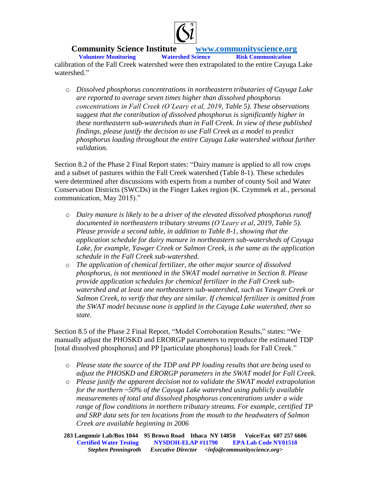

**Volunteer Monitoring** calibration of the Fall Creek watershed were then extrapolated to the entire Cayuga Lake watershed."

o *Dissolved phosphorus concentrations in northeastern tributaries of Cayuga Lake are reported to average seven times higher than dissolved phosphorus concentrations in Fall Creek (O'Leary et al, 2019, Table 5). These observations suggest that the contribution of dissolved phosphorus is significantly higher in these northeastern sub-watersheds than in Fall Creek. In view of these published findings, please justify the decision to use Fall Creek as a model to predict phosphorus loading throughout the entire Cayuga Lake watershed without further validation.* 

Section 8.2 of the Phase 2 Final Report states: "Dairy manure is applied to all row crops and a subset of pastures within the Fall Creek watershed (Table 8-1). These schedules were determined after discussions with experts from a number of county Soil and Water Conservation Districts (SWCDs) in the Finger Lakes region (K. Czymmek et al., personal communication, May 2015)."

- o *Dairy manure is likely to be a driver of the elevated dissolved phosphorus runoff documented in northeastern tributary streams (O'Leary et al, 2019, Table 5). Please provide a second table, in addition to Table 8-1, showing that the application schedule for dairy manure in northeastern sub-watersheds of Cayuga Lake, for example, Yawger Creek or Salmon Creek, is the same as the application schedule in the Fall Creek sub-watershed.*
- o *The application of chemical fertilizer, the other major source of dissolved phosphorus, is not mentioned in the SWAT model narrative in Section 8. Please provide application schedules for chemical fertilizer in the Fall Creek subwatershed and at least one northeastern sub-watershed, such as Yawger Creek or Salmon Creek, to verify that they are similar. If chemical fertilizer is omitted from the SWAT model because none is applied in the Cayuga Lake watershed, then so state.*

Section 8.5 of the Phase 2 Final Report, "Model Corroboration Results," states: "We manually adjust the PHOSKD and ERORGP parameters to reproduce the estimated TDP [total dissolved phosphorus] and PP [particulate phosphorus] loads for Fall Creek."

- o *Please state the source of the TDP and PP loading results that are being used to adjust the PHOSKD and ERORGP parameters in the SWAT model for Fall Creek.*
- o *Please justify the apparent decision not to validate the SWAT model extrapolation for the northern ~50% of the Cayuga Lake watershed using publicly available measurements of total and dissolved phosphorus concentrations under a wide range of flow conditions in northern tributary streams. For example, certified TP and SRP data sets for ten locations from the mouth to the headwaters of Salmon Creek are available beginning in 2006*

**283 Langmuir Lab/Box 1044 95 Brown Road Ithaca NY 14850 Voice/Fax 607 257 6606 Certified Water Testing NYSDOH-ELAP #11790 EPA Lab Code NY01518**<br>Stephen Penningroth Executive Director <info@communityscience.org> *Executive Director <info@communityscience.org>*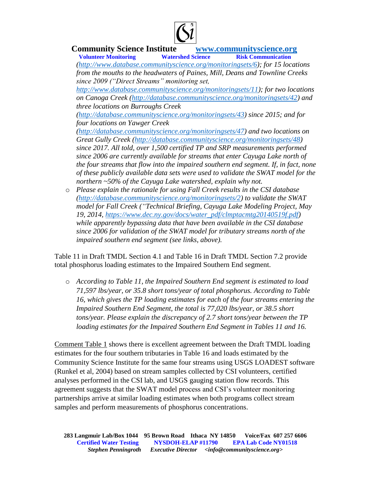

**Volunteer Monitoring** *[\(http://www.database.communityscience.org/monitoringsets/6\)](http://www.database.communityscience.org/monitoringsets/6); for 15 locations from the mouths to the headwaters of Paines, Mill, Deans and Townline Creeks since 2009 ("Direct Streams" monitoring set,* 

*[http://www.database.communityscience.org/monitoringsets/11\)](http://www.database.communityscience.org/monitoringsets/11); for two locations on Canoga Creek [\(http://database.communityscience.org/monitoringsets/42\)](http://database.communityscience.org/monitoringsets/42) and three locations on Burroughs Creek* 

*[\(http://database.communityscience.org/monitoringsets/43\)](http://database.communityscience.org/monitoringsets/43) since 2015; and for four locations on Yawger Creek* 

*[\(http://database.communityscience.org/monitoringsets/47\)](http://database.communityscience.org/monitoringsets/47) and two locations on Great Gully Creek [\(http://database.communityscience.org/monitoringsets/48\)](http://database.communityscience.org/monitoringsets/48) since 2017. All told, over 1,500 certified TP and SRP measurements performed since 2006 are currently available for streams that enter Cayuga Lake north of the four streams that flow into the impaired southern end segment. If, in fact, none of these publicly available data sets were used to validate the SWAT model for the northern ~50% of the Cayuga Lake watershed, explain why not.* 

o *Please explain the rationale for using Fall Creek results in the CSI database [\(http://database.communityscience.org/monitoringsets/2\)](http://database.communityscience.org/monitoringsets/2) to validate the SWAT model for Fall Creek ("Technical Briefing, Cayuga Lake Modeling Project, May 19, 2014, [https://www.dec.ny.gov/docs/water\\_pdf/clmptacmtg20140519f.pdf\)](https://www.dec.ny.gov/docs/water_pdf/clmptacmtg20140519f.pdf)) while apparently bypassing data that have been available in the CSI database since 2006 for validation of the SWAT model for tributary streams north of the impaired southern end segment (see links, above).*

Table 11 in Draft TMDL Section 4.1 and Table 16 in Draft TMDL Section 7.2 provide total phosphorus loading estimates to the Impaired Southern End segment.

o *According to Table 11, the Impaired Southern End segment is estimated to load 71,597 lbs/year, or 35.8 short tons/year of total phosphorus. According to Table 16, which gives the TP loading estimates for each of the four streams entering the Impaired Southern End Segment, the total is 77,020 lbs/year, or 38.5 short tons/year. Please explain the discrepancy of 2.7 short tons/year between the TP loading estimates for the Impaired Southern End Segment in Tables 11 and 16.*

Comment Table 1 shows there is excellent agreement between the Draft TMDL loading estimates for the four southern tributaries in Table 16 and loads estimated by the Community Science Institute for the same four streams using USGS LOADEST software (Runkel et al, 2004) based on stream samples collected by CSI volunteers, certified analyses performed in the CSI lab, and USGS gauging station flow records. This agreement suggests that the SWAT model process and CSI's volunteer monitoring partnerships arrive at similar loading estimates when both programs collect stream samples and perform measurements of phosphorus concentrations.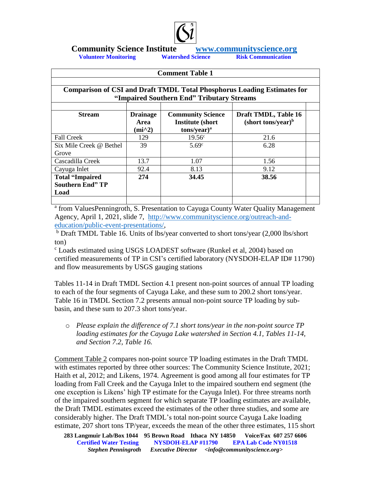

**Volunteer Monitoring** 

#### **Comment Table 1**

| <b>Comparison of CSI and Draft TMDL Total Phosphorus Loading Estimates for</b> |                                       |                          |                       |  |  |  |
|--------------------------------------------------------------------------------|---------------------------------------|--------------------------|-----------------------|--|--|--|
| "Impaired Southern End" Tributary Streams                                      |                                       |                          |                       |  |  |  |
|                                                                                |                                       |                          |                       |  |  |  |
| <b>Stream</b>                                                                  | <b>Drainage</b>                       | <b>Community Science</b> | Draft TMDL, Table 16  |  |  |  |
|                                                                                | <b>Area</b>                           | <b>Institute (short)</b> | $(short tons/year)^b$ |  |  |  |
|                                                                                | $(i$ <sup><math>\land</math>2</sup> ) | tons/year) <sup>a</sup>  |                       |  |  |  |
| <b>Fall Creek</b>                                                              | 129                                   | $19.56^{\circ}$          | 21.6                  |  |  |  |
| Six Mile Creek @ Bethel                                                        | 39                                    | 5.69c                    | 6.28                  |  |  |  |
| Grove                                                                          |                                       |                          |                       |  |  |  |
| Cascadilla Creek                                                               | 13.7                                  | 1.07                     | 1.56                  |  |  |  |
| Cayuga Inlet                                                                   | 92.4                                  | 8.13                     | 9.12                  |  |  |  |
| <b>Total "Impaired</b>                                                         | 274                                   | 34.45                    | 38.56                 |  |  |  |
| <b>Southern End" TP</b>                                                        |                                       |                          |                       |  |  |  |
| Load                                                                           |                                       |                          |                       |  |  |  |
|                                                                                |                                       |                          |                       |  |  |  |

<sup>a</sup> from ValuesPenningroth, S. Presentation to Cayuga County Water Quality Management Agency, April 1, 2021, slide 7, [http://www.communityscience.org/outreach-and](http://www.communityscience.org/outreach-and-education/public-event-presentations/)[education/public-event-presentations/,](http://www.communityscience.org/outreach-and-education/public-event-presentations/)

<sup>b</sup> Draft TMDL Table 16. Units of lbs/year converted to short tons/year (2,000 lbs/short ton)

<sup>c</sup> Loads estimated using USGS LOADEST software (Runkel et al, 2004) based on certified measurements of TP in CSI's certified laboratory (NYSDOH-ELAP ID# 11790) and flow measurements by USGS gauging stations

Tables 11-14 in Draft TMDL Section 4.1 present non-point sources of annual TP loading to each of the four segments of Cayuga Lake, and these sum to 200.2 short tons/year. Table 16 in TMDL Section 7.2 presents annual non-point source TP loading by subbasin, and these sum to 207.3 short tons/year.

o *Please explain the difference of 7.1 short tons/year in the non-point source TP loading estimates for the Cayuga Lake watershed in Section 4.1, Tables 11-14, and Section 7.2, Table 16.* 

Comment Table 2 compares non-point source TP loading estimates in the Draft TMDL with estimates reported by three other sources: The Community Science Institute, 2021; Haith et al, 2012; and Likens, 1974. Agreement is good among all four estimates for TP loading from Fall Creek and the Cayuga Inlet to the impaired southern end segment (the one exception is Likens' high TP estimate for the Cayuga Inlet). For three streams north of the impaired southern segment for which separate TP loading estimates are available, the Draft TMDL estimates exceed the estimates of the other three studies, and some are considerably higher. The Draft TMDL's total non-point source Cayuga Lake loading estimate, 207 short tons TP/year, exceeds the mean of the other three estimates, 115 short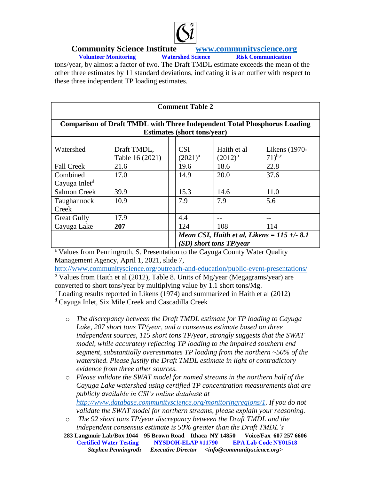

**Volunteer Monitoring** tons/year, by almost a factor of two. The Draft TMDL estimate exceeds the mean of the other three estimates by 11 standard deviations, indicating it is an outlier with respect to these three independent TP loading estimates.

| <b>Comment Table 2</b>                                                          |                 |                                              |              |               |  |
|---------------------------------------------------------------------------------|-----------------|----------------------------------------------|--------------|---------------|--|
|                                                                                 |                 |                                              |              |               |  |
| <b>Comparison of Draft TMDL with Three Independent Total Phosphorus Loading</b> |                 |                                              |              |               |  |
| <b>Estimates (short tons/year)</b>                                              |                 |                                              |              |               |  |
|                                                                                 |                 |                                              |              |               |  |
| Watershed                                                                       | Draft TMDL,     | <b>CSI</b>                                   | Haith et al  | Likens (1970- |  |
|                                                                                 | Table 16 (2021) | $(2021)^{a}$                                 | $(2012)^{b}$ | $(71)^{b,c}$  |  |
| <b>Fall Creek</b>                                                               | 21.6            | 19.6                                         | 18.6         | 22.8          |  |
| Combined                                                                        | 17.0            | 14.9                                         | 20.0         | 37.6          |  |
| Cayuga Inlet <sup>d</sup>                                                       |                 |                                              |              |               |  |
| <b>Salmon Creek</b>                                                             | 39.9            | 15.3                                         | 14.6         | 11.0          |  |
| Taughannock                                                                     | 10.9            | 7.9                                          | 7.9          | 5.6           |  |
| Creek                                                                           |                 |                                              |              |               |  |
| <b>Great Gully</b>                                                              | 17.9            | 4.4                                          |              |               |  |
| Cayuga Lake                                                                     | 207             | 124                                          | 108          | 114           |  |
|                                                                                 |                 | Mean CSI, Haith et al, Likens = $115 + -8.1$ |              |               |  |
|                                                                                 |                 | (SD) short tons TP/year                      |              |               |  |

<sup>a</sup> Values from Penningroth, S. Presentation to the Cayuga County Water Quality Management Agency, April 1, 2021, slide 7,

<http://www.communityscience.org/outreach-and-education/public-event-presentations/> <sup>b</sup> Values from Haith et al (2012), Table 8. Units of Mg/year (Megagrams/year) are converted to short tons/year by multiplying value by 1.1 short tons/Mg.

 $\textdegree$  Loading results reported in Likens (1974) and summarized in Haith et al (2012)

<sup>d</sup> Cayuga Inlet, Six Mile Creek and Cascadilla Creek

- o *The discrepancy between the Draft TMDL estimate for TP loading to Cayuga Lake, 207 short tons TP/year, and a consensus estimate based on three independent sources, 115 short tons TP/year, strongly suggests that the SWAT model, while accurately reflecting TP loading to the impaired southern end segment, substantially overestimates TP loading from the northern ~50% of the watershed. Please justify the Draft TMDL estimate in light of contradictory evidence from three other sources.*
- o *Please validate the SWAT model for named streams in the northern half of the Cayuga Lake watershed using certified TP concentration measurements that are publicly available in CSI's online database at [http://www.database.communityscience.org/monitoringregions/1.](http://www.database.communityscience.org/monitoringregions/1) If you do not validate the SWAT model for northern streams, please explain your reasoning.*
- o *The 92 short tons TP/year discrepancy between the Draft TMDL and the independent consensus estimate is 50% greater than the Draft TMDL's*
- **283 Langmuir Lab/Box 1044 95 Brown Road Ithaca NY 14850 Voice/Fax 607 257 6606 Certified Water Testing NYSDOH-ELAP #11790 EPA Lab Code NY01518**<br>Stephen Penningroth Executive Director <info@communityscience.org> *Executive Director <info@communityscience.org>*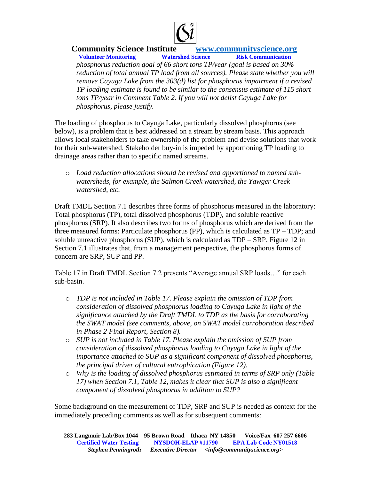

**Volunteer Monitoring** *phosphorus reduction goal of 66 short tons TP/year (goal is based on 30%*  reduction of total annual TP load from all sources). Please state whether you will *remove Cayuga Lake from the 303(d) list for phosphorus impairment if a revised TP loading estimate is found to be similar to the consensus estimate of 115 short tons TP/year in Comment Table 2. If you will not delist Cayuga Lake for phosphorus, please justify.* 

The loading of phosphorus to Cayuga Lake, particularly dissolved phosphorus (see below), is a problem that is best addressed on a stream by stream basis. This approach allows local stakeholders to take ownership of the problem and devise solutions that work for their sub-watershed. Stakeholder buy-in is impeded by apportioning TP loading to drainage areas rather than to specific named streams.

o *Load reduction allocations should be revised and apportioned to named subwatersheds, for example, the Salmon Creek watershed, the Yawger Creek watershed, etc.*

Draft TMDL Section 7.1 describes three forms of phosphorus measured in the laboratory: Total phosphorus (TP), total dissolved phosphorus (TDP), and soluble reactive phosphorus (SRP). It also describes two forms of phosphorus which are derived from the three measured forms: Particulate phosphorus (PP), which is calculated as  $TP - TDP$ ; and soluble unreactive phosphorus (SUP), which is calculated as TDP – SRP. Figure 12 in Section 7.1 illustrates that, from a management perspective, the phosphorus forms of concern are SRP, SUP and PP.

Table 17 in Draft TMDL Section 7.2 presents "Average annual SRP loads…" for each sub-basin.

- o *TDP is not included in Table 17. Please explain the omission of TDP from consideration of dissolved phosphorus loading to Cayuga Lake in light of the significance attached by the Draft TMDL to TDP as the basis for corroborating the SWAT model (see comments, above, on SWAT model corroboration described in Phase 2 Final Report, Section 8).*
- o *SUP is not included in Table 17. Please explain the omission of SUP from consideration of dissolved phosphorus loading to Cayuga Lake in light of the importance attached to SUP as a significant component of dissolved phosphorus, the principal driver of cultural eutrophication (Figure 12).*
- o *Why is the loading of dissolved phosphorus estimated in terms of SRP only (Table 17) when Section 7.1, Table 12, makes it clear that SUP is also a significant component of dissolved phosphorus in addition to SUP?*

Some background on the measurement of TDP, SRP and SUP is needed as context for the immediately preceding comments as well as for subsequent comments: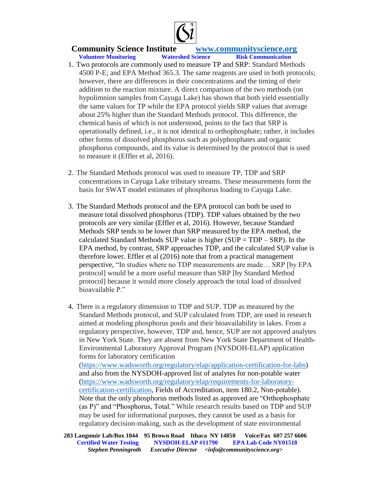

**Volunteer Monitoring** 

- 
- 1. Two protocols are commonly used to measure TP and SRP: Standard Methods 4500 P-E; and EPA Method 365.3. The same reagents are used in both protocols; however, there are differences in their concentrations and the timing of their addition to the reaction mixture. A direct comparison of the two methods (on hypolimnion samples from Cayuga Lake) has shown that both yield essentially the same values for TP while the EPA protocol yields SRP values that average about 25% higher than the Standard Methods protocol. This difference, the chemical basis of which is not understood, points to the fact that SRP is operationally defined, i.e., it is not identical to orthophosphate; rather, it includes other forms of dissolved phosphorus such as polyphosphates and organic phosphorus compounds, and its value is determined by the protocol that is used to measure it (Effler et al, 2016).
- 2. The Standard Methods protocol was used to measure TP, TDP and SRP concentrations in Cayuga Lake tributary streams. These measurements form the basis for SWAT model estimates of phosphorus loading to Cayuga Lake.
- 3. The Standard Methods protocol and the EPA protocol can both be used to measure total dissolved phosphorus (TDP). TDP values obtained by the two protocols are very similar (Effler et al, 2016). However, because Standard Methods SRP tends to be lower than SRP measured by the EPA method, the calculated Standard Methods SUP value is higher  $(SUP = TDP - SRP)$ . In the EPA method, by contrast, SRP approaches TDP, and the calculated SUP value is therefore lower. Effler et al (2016) note that from a practical management perspective, "In studies where no TDP measurements are made… SRP [by EPA protocol] would be a more useful measure than SRP [by Standard Method protocol] because it would more closely approach the total load of dissolved bioavailable P."
- 4. There is a regulatory dimension to TDP and SUP. TDP as measured by the Standard Methods protocol, and SUP calculated from TDP, are used in research aimed at modeling phosphorus pools and their bioavailability in lakes. From a regulatory perspective, however, TDP and, hence, SUP are not approved analytes in New York State. They are absent from New York State Department of Health-Environmental Laboratory Approval Program (NYSDOH-ELAP) application forms for laboratory certification

[\(https://www.wadsworth.org/regulatory/elap/application-certification-for-labs\)](https://www.wadsworth.org/regulatory/elap/application-certification-for-labs) and also from the NYSDOH-approved list of analytes for non-potable water [\(https://www.wadsworth.org/regulatory/elap/requirements-for-laboratory](https://www.wadsworth.org/regulatory/elap/requirements-for-laboratory-certification-certification)[certification-certification,](https://www.wadsworth.org/regulatory/elap/requirements-for-laboratory-certification-certification) Fields of Accreditation, item 180.2, Non-potable). Note that the only phosphorus methods listed as approved are "Orthophosphate (as P)" and "Phosphorus, Total." While research results based on TDP and SUP may be used for informational purposes, they cannot be used as a basis for regulatory decision-making, such as the development of state environmental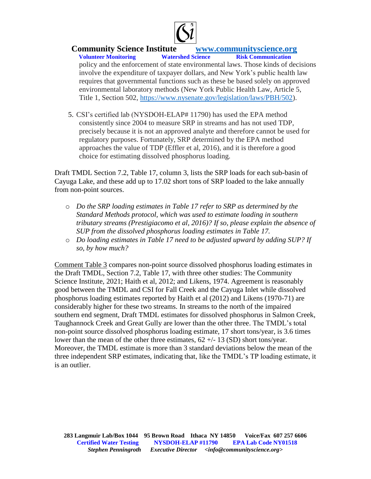

### **Community Science Institute** *www.communityscience.org***<br>Volunteer Monitoring** *Watershed Science**Risk Communication* **Volunteer Monitoring** policy and the enforcement of state environmental laws. Those kinds of decisions involve the expenditure of taxpayer dollars, and New York's public health law requires that governmental functions such as these be based solely on approved environmental laboratory methods (New York Public Health Law, Article 5, Title 1, Section 502, [https://www.nysenate.gov/legislation/laws/PBH/502\)](https://www.nysenate.gov/legislation/laws/PBH/502).

5. CSI's certified lab (NYSDOH-ELAP# 11790) has used the EPA method consistently since 2004 to measure SRP in streams and has not used TDP, precisely because it is not an approved analyte and therefore cannot be used for regulatory purposes. Fortunately, SRP determined by the EPA method approaches the value of TDP (Effler et al, 2016), and it is therefore a good choice for estimating dissolved phosphorus loading.

Draft TMDL Section 7.2, Table 17, column 3, lists the SRP loads for each sub-basin of Cayuga Lake, and these add up to 17.02 short tons of SRP loaded to the lake annually from non-point sources.

- o *Do the SRP loading estimates in Table 17 refer to SRP as determined by the Standard Methods protocol, which was used to estimate loading in southern tributary streams (Prestigiacomo et al, 2016)? If so, please explain the absence of SUP from the dissolved phosphorus loading estimates in Table 17.*
- o *Do loading estimates in Table 17 need to be adjusted upward by adding SUP? If so, by how much?*

Comment Table 3 compares non-point source dissolved phosphorus loading estimates in the Draft TMDL, Section 7.2, Table 17, with three other studies: The Community Science Institute, 2021; Haith et al, 2012; and Likens, 1974. Agreement is reasonably good between the TMDL and CSI for Fall Creek and the Cayuga Inlet while dissolved phosphorus loading estimates reported by Haith et al (2012) and Likens (1970-71) are considerably higher for these two streams. In streams to the north of the impaired southern end segment, Draft TMDL estimates for dissolved phosphorus in Salmon Creek, Taughannock Creek and Great Gully are lower than the other three. The TMDL's total non-point source dissolved phosphorus loading estimate, 17 short tons/year, is 3.6 times lower than the mean of the other three estimates,  $62 +/- 13$  (SD) short tons/year. Moreover, the TMDL estimate is more than 3 standard deviations below the mean of the three independent SRP estimates, indicating that, like the TMDL's TP loading estimate, it is an outlier.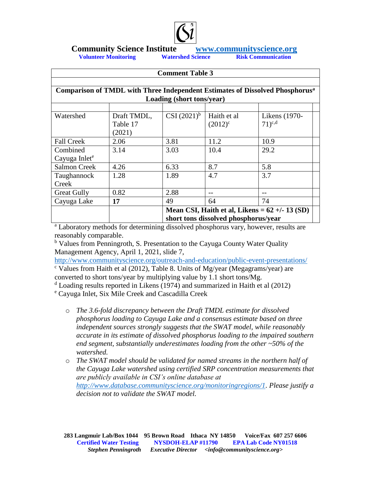

**Volunteer Monitoring Watershed Science** 

| <b>Comment Table 3</b><br>Comparison of TMDL with Three Independent Estimates of Dissolved Phosphorus <sup>a</sup><br>Loading (short tons/year) |              |                                      |              |                                                        |  |
|-------------------------------------------------------------------------------------------------------------------------------------------------|--------------|--------------------------------------|--------------|--------------------------------------------------------|--|
|                                                                                                                                                 |              |                                      |              |                                                        |  |
| <b>Fall Creek</b><br>Combined<br>Cayuga Inlet <sup>e</sup>                                                                                      | 2.06<br>3.14 | 3.81<br>3.03                         | 11.2<br>10.4 | 10.9<br>29.2                                           |  |
| <b>Salmon Creek</b><br>Taughannock<br>Creek                                                                                                     | 4.26<br>1.28 | 6.33<br>1.89                         | 8.7<br>4.7   | 5.8<br>3.7                                             |  |
| <b>Great Gully</b><br>Cayuga Lake                                                                                                               | 0.82<br>17   | 2.88<br>49                           | --<br>64     | 74<br>Mean CSI, Haith et al, Likens = $62 +/- 13$ (SD) |  |
|                                                                                                                                                 |              | short tons dissolved phosphorus/year |              |                                                        |  |

<sup>a</sup> Laboratory methods for determining dissolved phosphorus vary, however, results are reasonably comparable.

<sup>b</sup> Values from Penningroth, S. Presentation to the Cayuga County Water Quality Management Agency, April 1, 2021, slide 7,

<http://www.communityscience.org/outreach-and-education/public-event-presentations/>

 $\textdegree$  Values from Haith et al (2012), Table 8. Units of Mg/year (Megagrams/year) are converted to short tons/year by multiplying value by 1.1 short tons/Mg.

 $d$  Loading results reported in Likens (1974) and summarized in Haith et al (2012)

<sup>e</sup> Cayuga Inlet, Six Mile Creek and Cascadilla Creek

- o *The 3.6-fold discrepancy between the Draft TMDL estimate for dissolved phosphorus loading to Cayuga Lake and a consensus estimate based on three independent sources strongly suggests that the SWAT model, while reasonably accurate in its estimate of dissolved phosphorus loading to the impaired southern end segment, substantially underestimates loading from the other ~50% of the watershed.*
- o *The SWAT model should be validated for named streams in the northern half of the Cayuga Lake watershed using certified SRP concentration measurements that are publicly available in CSI's online database at [http://www.database.communityscience.org/monitoringregions/1.](http://www.database.communityscience.org/monitoringregions/1) Please justify a decision not to validate the SWAT model.*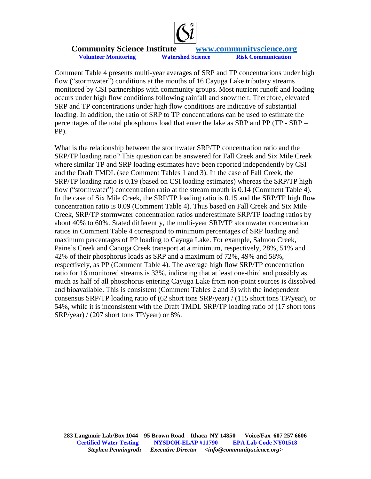

Comment Table 4 presents multi-year averages of SRP and TP concentrations under high flow ("stormwater") conditions at the mouths of 16 Cayuga Lake tributary streams monitored by CSI partnerships with community groups. Most nutrient runoff and loading occurs under high flow conditions following rainfall and snowmelt. Therefore, elevated SRP and TP concentrations under high flow conditions are indicative of substantial loading. In addition, the ratio of SRP to TP concentrations can be used to estimate the percentages of the total phosphorus load that enter the lake as SRP and PP (TP - SRP = PP).

What is the relationship between the stormwater SRP/TP concentration ratio and the SRP/TP loading ratio? This question can be answered for Fall Creek and Six Mile Creek where similar TP and SRP loading estimates have been reported independently by CSI and the Draft TMDL (see Comment Tables 1 and 3). In the case of Fall Creek, the SRP/TP loading ratio is 0.19 (based on CSI loading estimates) whereas the SRP/TP high flow ("stormwater") concentration ratio at the stream mouth is 0.14 (Comment Table 4). In the case of Six Mile Creek, the SRP/TP loading ratio is 0.15 and the SRP/TP high flow concentration ratio is 0.09 (Comment Table 4). Thus based on Fall Creek and Six Mile Creek, SRP/TP stormwater concentration ratios underestimate SRP/TP loading ratios by about 40% to 60%. Stated differently, the multi-year SRP/TP stormwater concentration ratios in Comment Table 4 correspond to minimum percentages of SRP loading and maximum percentages of PP loading to Cayuga Lake. For example, Salmon Creek, Paine's Creek and Canoga Creek transport at a minimum, respectively, 28%, 51% and 42% of their phosphorus loads as SRP and a maximum of 72%, 49% and 58%, respectively, as PP (Comment Table 4). The average high flow SRP/TP concentration ratio for 16 monitored streams is 33%, indicating that at least one-third and possibly as much as half of all phosphorus entering Cayuga Lake from non-point sources is dissolved and bioavailable. This is consistent (Comment Tables 2 and 3) with the independent consensus SRP/TP loading ratio of (62 short tons SRP/year) / (115 short tons TP/year), or 54%, while it is inconsistent with the Draft TMDL SRP/TP loading ratio of (17 short tons SRP/year) / (207 short tons TP/year) or 8%.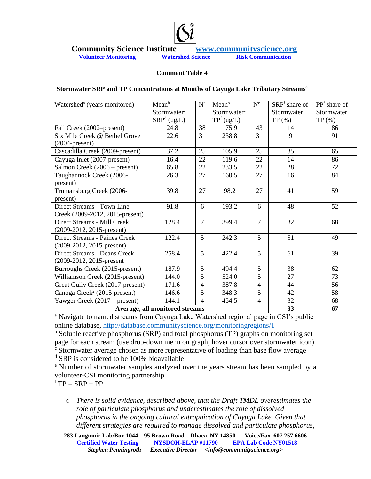

# **Community Science Institute**<br>Volunteer Monitoring<br>Watershed Science<br>Risk Communication<br>Risk Communication

**Volunteer Monitoring** 

| <b>Comment Table 4</b>                                                                       |                                                               |                          |                                                           |                |                                      |                                          |
|----------------------------------------------------------------------------------------------|---------------------------------------------------------------|--------------------------|-----------------------------------------------------------|----------------|--------------------------------------|------------------------------------------|
|                                                                                              |                                                               |                          |                                                           |                |                                      |                                          |
| Stormwater SRP and TP Concentrations at Mouths of Cayuga Lake Tributary Streams <sup>a</sup> |                                                               |                          |                                                           |                |                                      |                                          |
| Watershed <sup>a</sup> (years monitored)                                                     | Mean <sup>b</sup><br>Stormwater <sup>c</sup><br>$SRPd$ (ug/L) | $N^{e}$                  | Mean <sup>b</sup><br>Stormwater <sup>c</sup><br>TPf(ug/L) | $N^{e}$        | SRPf share of<br>Stormwater<br>TP(%) | $PPf$ share of<br>Stormwater<br>$TP(\%)$ |
| Fall Creek (2002–present)                                                                    | 24.8                                                          | 38                       | 175.9                                                     | 43             | 14                                   | 86                                       |
| Six Mile Creek @ Bethel Grove<br>$(2004$ -present)                                           | 22.6                                                          | 31                       | 238.8                                                     | 31             | 9                                    | 91                                       |
| Cascadilla Creek (2009-present)                                                              | 37.2                                                          | 25                       | 105.9                                                     | 25             | 35                                   | 65                                       |
| Cayuga Inlet (2007-present)                                                                  | 16.4                                                          | 22                       | 119.6                                                     | 22             | 14                                   | 86                                       |
| Salmon Creek (2006 – present)                                                                | 65.8                                                          | 22                       | 233.5                                                     | 22             | 28                                   | 72                                       |
| Taughannock Creek (2006-<br>present)                                                         | 26.3                                                          | 27                       | 160.5                                                     | 27             | 16                                   | 84                                       |
| Trumansburg Creek (2006-<br>present)                                                         | 39.8                                                          | 27                       | 98.2                                                      | 27             | 41                                   | 59                                       |
| Direct Streams - Town Line<br>Creek (2009-2012, 2015-present)                                | 91.8                                                          | 6                        | 193.2                                                     | 6              | 48                                   | 52                                       |
| Direct Streams - Mill Creek<br>$(2009-2012, 2015$ -present)                                  | 128.4                                                         | $\overline{7}$           | 399.4                                                     | $\overline{7}$ | 32                                   | 68                                       |
| Direct Streams - Paines Creek<br>$(2009-2012, 2015$ -present)                                | 122.4                                                         | 5                        | 242.3                                                     | 5              | 51                                   | 49                                       |
| <b>Direct Streams - Deans Creek</b><br>(2009-2012, 2015-present                              | 258.4                                                         | $\overline{5}$           | 422.4                                                     | $\overline{5}$ | 61                                   | 39                                       |
| Burroughs Creek (2015-present)                                                               | 187.9                                                         | 5                        | 494.4                                                     | 5              | 38                                   | 62                                       |
| Williamson Creek (2015-present)                                                              | 144.0                                                         | 5                        | 524.0                                                     | 5              | 27                                   | 73                                       |
| Great Gully Creek (2017-present)                                                             | 171.6                                                         | 4                        | 387.8                                                     | $\overline{4}$ | 44                                   | 56                                       |
| Canoga Creek <sup>2</sup> (2015-present)                                                     | 146.6                                                         | 5                        | 348.3                                                     | 5              | 42                                   | 58                                       |
| Yawger Creek $(2017 - present)$                                                              | 144.1                                                         | $\overline{\mathcal{L}}$ | 454.5                                                     | $\overline{4}$ | 32                                   | 68                                       |
| Average, all monitored streams<br>33                                                         |                                                               |                          |                                                           |                |                                      | 67                                       |

<sup>a</sup> Navigate to named streams from Cayuga Lake Watershed regional page in CSI's public online database,<http://database.communityscience.org/monitoringregions/1>

 $b$  Soluble reactive phosphorus (SRP) and total phosphorus (TP) graphs on monitoring set page for each stream (use drop-down menu on graph, hover cursor over stormwater icon)

 $\frac{c}{c}$  Stormwater average chosen as more representative of loading than base flow average <sup>d</sup> SRP is considered to be 100% bioavailable

<sup>e</sup> Number of stormwater samples analyzed over the years stream has been sampled by a volunteer-CSI monitoring partnership

 $fTP = SRP + PP$ 

o *There is solid evidence, described above, that the Draft TMDL overestimates the role of particulate phosphorus and underestimates the role of dissolved phosphorus in the ongoing cultural eutrophication of Cayuga Lake. Given that different strategies are required to manage dissolved and particulate phosphorus,* 

**283 Langmuir Lab/Box 1044 95 Brown Road Ithaca NY 14850 Voice/Fax 607 257 6606 Certified Water Testing NYSDOH-ELAP #11790 EPA Lab Code NY01518**<br>Stephen Penningroth Executive Director <info@communityscience.org> *Executive Director <info@communityscience.org>*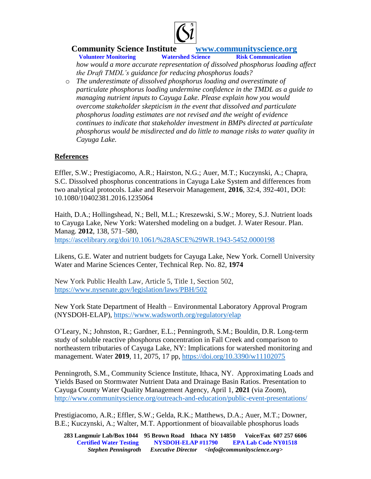

**Volunteer Monitoring** *how would a more accurate representation of dissolved phosphorus loading affect the Draft TMDL's guidance for reducing phosphorus loads?* 

o *The underestimate of dissolved phosphorus loading and overestimate of particulate phosphorus loading undermine confidence in the TMDL as a guide to managing nutrient inputs to Cayuga Lake. Please explain how you would overcome stakeholder skepticism in the event that dissolved and particulate phosphorus loading estimates are not revised and the weight of evidence continues to indicate that stakeholder investment in BMPs directed at particulate phosphorus would be misdirected and do little to manage risks to water quality in Cayuga Lake.* 

### **References**

Effler, S.W.; Prestigiacomo, A.R.; Hairston, N.G.; Auer, M.T.; Kuczynski, A.; Chapra, S.C. Dissolved phosphorus concentrations in Cayuga Lake System and differences from two analytical protocols. Lake and Reservoir Management, **2016**, 32:4, 392-401, DOI: 10.1080/10402381.2016.1235064

Haith, D.A.; Hollingshead, N.; Bell, M.L.; Kreszewski, S.W.; Morey, S.J. Nutrient loads to Cayuga Lake, New York: Watershed modeling on a budget. J. Water Resour. Plan. Manag. **2012**, 138, 571–580,

<https://ascelibrary.org/doi/10.1061/%28ASCE%29WR.1943-5452.0000198>

Likens, G.E. Water and nutrient budgets for Cayuga Lake, New York. Cornell University Water and Marine Sciences Center, Technical Rep. No. 82, **1974**

New York Public Health Law, Article 5, Title 1, Section 502, <https://www.nysenate.gov/legislation/laws/PBH/502>

New York State Department of Health – Environmental Laboratory Approval Program (NYSDOH-ELAP),<https://www.wadsworth.org/regulatory/elap>

O'Leary, N.; Johnston, R.; Gardner, E.L.; Penningroth, S.M.; Bouldin, D.R. Long-term study of soluble reactive phosphorus concentration in Fall Creek and comparison to northeastern tributaries of Cayuga Lake, NY: Implications for watershed monitoring and management. Water **2019**, 11, 2075, 17 pp, <https://doi.org/10.3390/w11102075>

Penningroth, S.M., Community Science Institute, Ithaca, NY. Approximating Loads and Yields Based on Stormwater Nutrient Data and Drainage Basin Ratios. Presentation to Cayuga County Water Quality Management Agency, April 1, **2021** (via Zoom), <http://www.communityscience.org/outreach-and-education/public-event-presentations/>

Prestigiacomo, A.R.; Effler, S.W.; Gelda, R.K.; Matthews, D.A.; Auer, M.T.; Downer, B.E.; Kuczynski, A.; Walter, M.T. Apportionment of bioavailable phosphorus loads

**283 Langmuir Lab/Box 1044 95 Brown Road Ithaca NY 14850 Voice/Fax 607 257 6606 Certified Water Testing NYSDOH-ELAP #11790 EPA Lab Code NY01518**<br>Stephen Penningroth Executive Director <info@communityscience.org> *Executive Director <info@communityscience.org>*